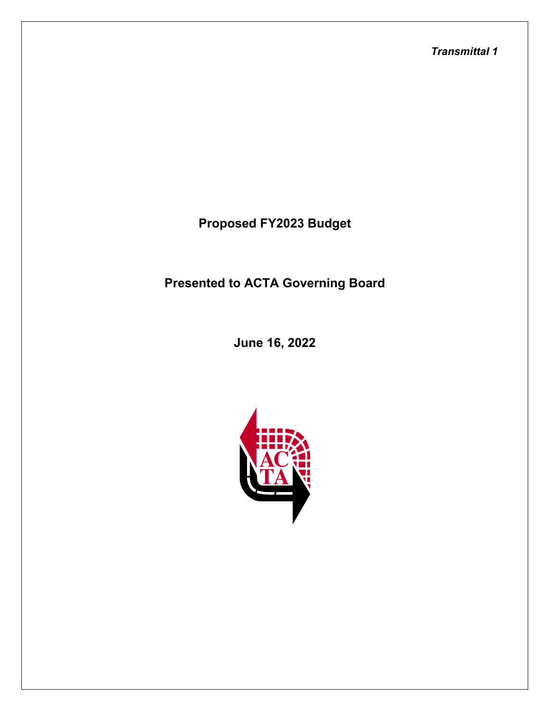*Transmittal 1*

**Proposed FY2023 Budget**

**Presented to ACTA Governing Board**

**June 16, 2022**

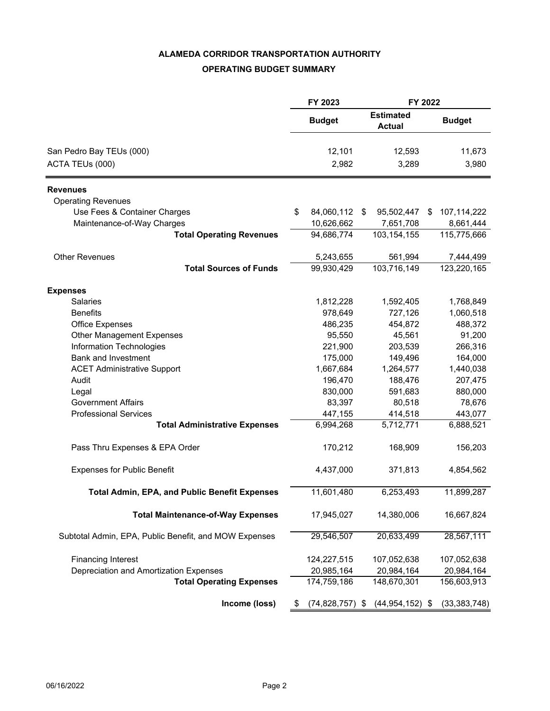### **ALAMEDA CORRIDOR TRANSPORTATION AUTHORITY**

## **OPERATING BUDGET SUMMARY**

|                                                       |    | FY 2023        |            | FY 2022                           |                          |  |
|-------------------------------------------------------|----|----------------|------------|-----------------------------------|--------------------------|--|
|                                                       |    | <b>Budget</b>  |            | <b>Estimated</b><br><b>Actual</b> | <b>Budget</b>            |  |
| San Pedro Bay TEUs (000)                              |    | 12,101         |            | 12,593                            | 11,673                   |  |
| ACTA TEUs (000)                                       |    | 2,982          | 3,289      |                                   | 3,980                    |  |
| <b>Revenues</b>                                       |    |                |            |                                   |                          |  |
| <b>Operating Revenues</b>                             |    |                |            |                                   |                          |  |
| Use Fees & Container Charges                          | S  | 84,060,112     | \$         | 95,502,447<br>S                   | 107,114,222              |  |
| Maintenance-of-Way Charges                            |    | 10,626,662     |            | 7,651,708                         | 8,661,444                |  |
| <b>Total Operating Revenues</b>                       |    | 94,686,774     |            | 103, 154, 155                     | 115,775,666              |  |
|                                                       |    |                |            |                                   |                          |  |
| <b>Other Revenues</b>                                 |    | 5,243,655      |            | 561,994                           | 7,444,499                |  |
| <b>Total Sources of Funds</b>                         |    | 99,930,429     |            | 103,716,149                       | $\overline{123,220,165}$ |  |
|                                                       |    |                |            |                                   |                          |  |
| <b>Expenses</b><br><b>Salaries</b>                    |    | 1,812,228      |            | 1,592,405                         | 1,768,849                |  |
| <b>Benefits</b>                                       |    | 978,649        |            | 727,126                           | 1,060,518                |  |
| <b>Office Expenses</b>                                |    | 486,235        |            | 454,872                           | 488,372                  |  |
| Other Management Expenses                             |    | 95,550         |            | 45,561                            | 91,200                   |  |
| <b>Information Technologies</b>                       |    | 221,900        |            | 203,539                           | 266,316                  |  |
| <b>Bank and Investment</b>                            |    |                |            |                                   |                          |  |
|                                                       |    | 175,000        |            | 149,496                           | 164,000                  |  |
| <b>ACET Administrative Support</b>                    |    | 1,667,684      |            | 1,264,577                         | 1,440,038                |  |
| Audit                                                 |    | 196,470        |            | 188,476                           | 207,475                  |  |
| Legal                                                 |    | 830,000        |            | 591,683                           | 880,000                  |  |
| <b>Government Affairs</b>                             |    | 83,397         |            | 80,518                            | 78,676                   |  |
| <b>Professional Services</b>                          |    | 447,155        |            | 414,518                           | 443,077                  |  |
| <b>Total Administrative Expenses</b>                  |    | 6,994,268      |            | 5,712,771                         | 6,888,521                |  |
| Pass Thru Expenses & EPA Order                        |    | 170,212        |            | 168,909                           | 156,203                  |  |
| <b>Expenses for Public Benefit</b>                    |    | 4,437,000      |            | 371,813                           | 4,854,562                |  |
| <b>Total Admin, EPA, and Public Benefit Expenses</b>  |    | 11,601,480     |            | 6,253,493                         | 11,899,287               |  |
| <b>Total Maintenance-of-Way Expenses</b>              |    | 17,945,027     |            | 14,380,006                        | 16,667,824               |  |
| Subtotal Admin, EPA, Public Benefit, and MOW Expenses |    | 29,546,507     |            | 20,633,499                        | 28,567,111               |  |
| <b>Financing Interest</b>                             |    | 124,227,515    |            | 107,052,638                       | 107,052,638              |  |
| Depreciation and Amortization Expenses                |    | 20,985,164     | 20,984,164 |                                   | 20,984,164               |  |
| <b>Total Operating Expenses</b>                       |    | 174,759,186    |            | 148,670,301                       | 156,603,913              |  |
| Income (loss)                                         | \$ | (74, 828, 757) | \$         | $(44, 954, 152)$ \$               | (33, 383, 748)           |  |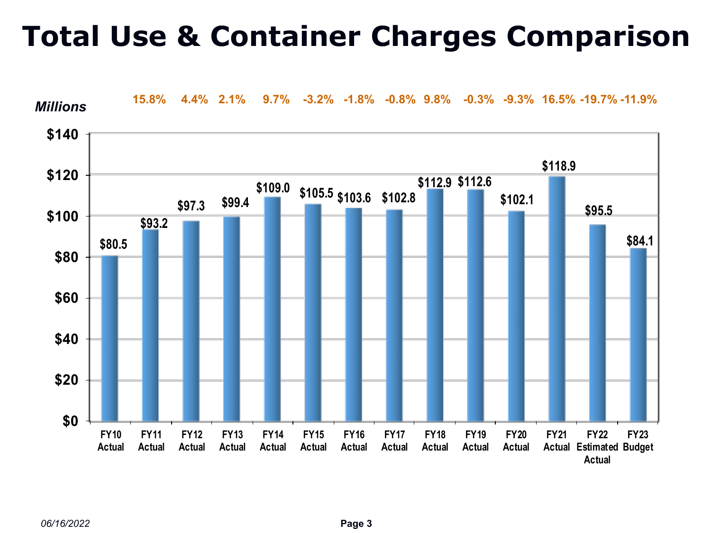# **Total Use & Container Charges Comparison**



*06/16/2022*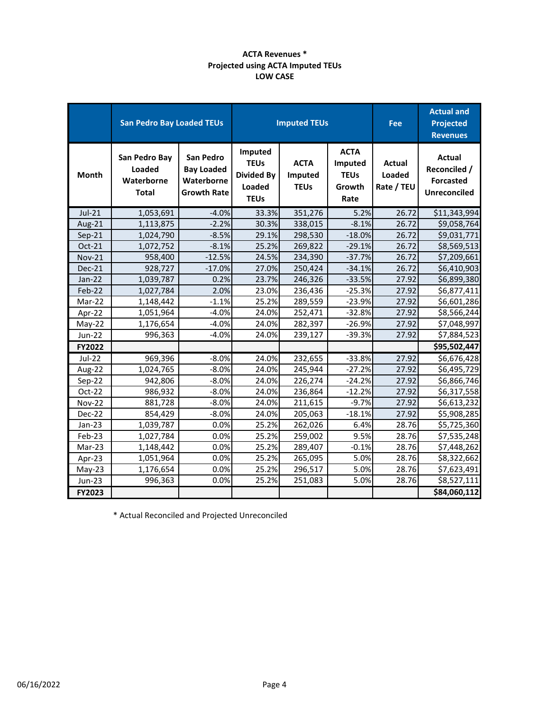#### **ACTA Revenues \* Projected using ACTA Imputed TEUs LOW CASE**

|               | <b>San Pedro Bay Loaded TEUs</b>                      |                                                                    | <b>Imputed TEUs</b>                                                  |                                       |                                                         | Fee                                   | <b>Actual and</b><br><b>Projected</b><br><b>Revenues</b>                 |
|---------------|-------------------------------------------------------|--------------------------------------------------------------------|----------------------------------------------------------------------|---------------------------------------|---------------------------------------------------------|---------------------------------------|--------------------------------------------------------------------------|
| <b>Month</b>  | San Pedro Bay<br>Loaded<br>Waterborne<br><b>Total</b> | San Pedro<br><b>Bay Loaded</b><br>Waterborne<br><b>Growth Rate</b> | Imputed<br><b>TEUs</b><br><b>Divided By</b><br>Loaded<br><b>TEUs</b> | <b>ACTA</b><br>Imputed<br><b>TEUs</b> | <b>ACTA</b><br>Imputed<br><b>TEUs</b><br>Growth<br>Rate | <b>Actual</b><br>Loaded<br>Rate / TEU | <b>Actual</b><br>Reconciled /<br><b>Forcasted</b><br><b>Unreconciled</b> |
| $Jul-21$      | 1,053,691                                             | $-4.0%$                                                            | 33.3%                                                                | 351,276                               | 5.2%                                                    | 26.72                                 | \$11,343,994                                                             |
| Aug-21        | 1,113,875                                             | $-2.2%$                                                            | 30.3%                                                                | 338,015                               | $-8.1%$                                                 | 26.72                                 | \$9,058,764                                                              |
| $Sep-21$      | 1,024,790                                             | $-8.5%$                                                            | 29.1%                                                                | 298,530                               | $-18.0%$                                                | 26.72                                 | \$9,031,771                                                              |
| Oct-21        | 1,072,752                                             | $-8.1%$                                                            | 25.2%                                                                | 269,822                               | $-29.1%$                                                | 26.72                                 | \$8,569,513                                                              |
| <b>Nov-21</b> | 958,400                                               | $-12.5%$                                                           | 24.5%                                                                | 234,390                               | $-37.7%$                                                | 26.72                                 | \$7,209,661                                                              |
| Dec-21        | 928,727                                               | $-17.0%$                                                           | 27.0%                                                                | 250,424                               | $-34.1%$                                                | 26.72                                 | \$6,410,903                                                              |
| Jan-22        | 1,039,787                                             | 0.2%                                                               | 23.7%                                                                | 246,326                               | $-33.5%$                                                | 27.92                                 | \$6,899,380                                                              |
| Feb-22        | 1,027,784                                             | 2.0%                                                               | 23.0%                                                                | 236,436                               | $-25.3%$                                                | 27.92                                 | \$6,877,411                                                              |
| Mar-22        | 1,148,442                                             | $-1.1%$                                                            | 25.2%                                                                | 289,559                               | $-23.9%$                                                | 27.92                                 | \$6,601,286                                                              |
| Apr-22        | 1,051,964                                             | $-4.0%$                                                            | 24.0%                                                                | 252,471                               | $-32.8%$                                                | 27.92                                 | \$8,566,244                                                              |
| May-22        | 1,176,654                                             | $-4.0%$                                                            | 24.0%                                                                | 282,397                               | $-26.9%$                                                | 27.92                                 | \$7,048,997                                                              |
| <b>Jun-22</b> | 996,363                                               | $-4.0%$                                                            | 24.0%                                                                | 239,127                               | $-39.3%$                                                | 27.92                                 | \$7,884,523                                                              |
| <b>FY2022</b> |                                                       |                                                                    |                                                                      |                                       |                                                         |                                       | \$95,502,447                                                             |
| Jul-22        | 969,396                                               | $-8.0%$                                                            | 24.0%                                                                | 232,655                               | $-33.8%$                                                | 27.92                                 | \$6,676,428                                                              |
| Aug-22        | 1,024,765                                             | $-8.0%$                                                            | 24.0%                                                                | 245,944                               | $-27.2%$                                                | 27.92                                 | \$6,495,729                                                              |
| Sep-22        | 942,806                                               | $-8.0%$                                                            | 24.0%                                                                | 226,274                               | $-24.2%$                                                | 27.92                                 | \$6,866,746                                                              |
| Oct-22        | 986,932                                               | $-8.0%$                                                            | 24.0%                                                                | 236,864                               | $-12.2%$                                                | 27.92                                 | \$6,317,558                                                              |
| <b>Nov-22</b> | 881,728                                               | $-8.0%$                                                            | 24.0%                                                                | 211,615                               | $-9.7%$                                                 | 27.92                                 | \$6,613,232                                                              |
| Dec-22        | 854,429                                               | $-8.0%$                                                            | 24.0%                                                                | 205,063                               | $-18.1%$                                                | 27.92                                 | \$5,908,285                                                              |
| $Jan-23$      | 1,039,787                                             | 0.0%                                                               | 25.2%                                                                | 262,026                               | 6.4%                                                    | 28.76                                 | \$5,725,360                                                              |
| Feb-23        | 1,027,784                                             | 0.0%                                                               | 25.2%                                                                | 259,002                               | 9.5%                                                    | 28.76                                 | \$7,535,248                                                              |
| Mar-23        | 1,148,442                                             | 0.0%                                                               | 25.2%                                                                | 289,407                               | $-0.1%$                                                 | 28.76                                 | \$7,448,262                                                              |
| Apr-23        | 1,051,964                                             | 0.0%                                                               | 25.2%                                                                | 265,095                               | 5.0%                                                    | 28.76                                 | \$8,322,662                                                              |
| $May-23$      | 1,176,654                                             | 0.0%                                                               | 25.2%                                                                | 296,517                               | 5.0%                                                    | 28.76                                 | \$7,623,491                                                              |
| <b>Jun-23</b> | 996,363                                               | 0.0%                                                               | 25.2%                                                                | 251,083                               | 5.0%                                                    | 28.76                                 | \$8,527,111                                                              |
| FY2023        |                                                       |                                                                    |                                                                      |                                       |                                                         |                                       | \$84,060,112                                                             |

\* Actual Reconciled and Projected Unreconciled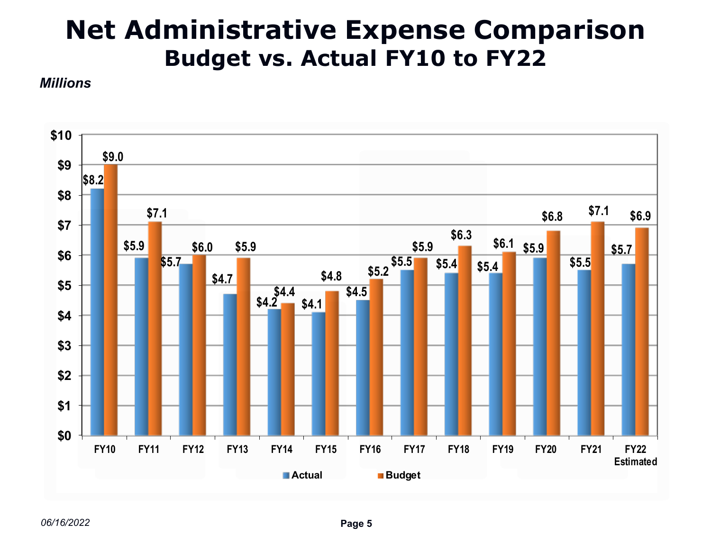# **Net Administrative Expense Comparison Budget vs. Actual FY10 to FY22**

*Millions*

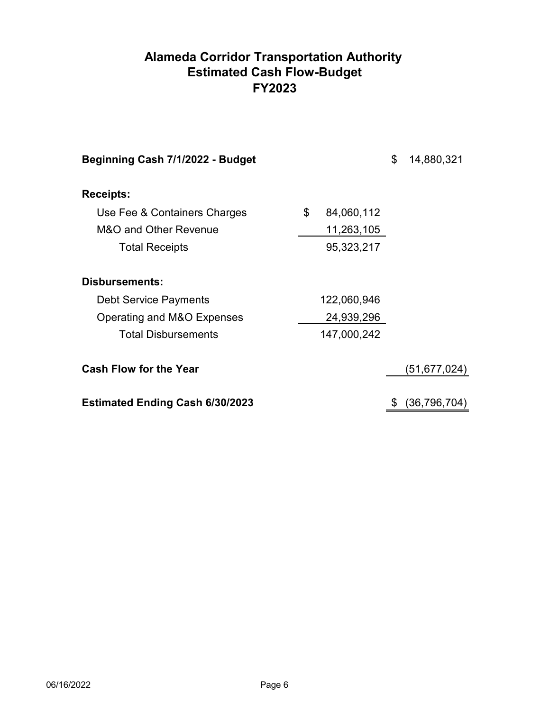# **FY2023 Alameda Corridor Transportation Authority Estimated Cash Flow-Budget**

| Beginning Cash 7/1/2022 - Budget       |                  | \$<br>14,880,321     |
|----------------------------------------|------------------|----------------------|
| <b>Receipts:</b>                       |                  |                      |
| Use Fee & Containers Charges           | \$<br>84,060,112 |                      |
| M&O and Other Revenue                  | 11,263,105       |                      |
| <b>Total Receipts</b>                  | 95,323,217       |                      |
| Disbursements:                         |                  |                      |
| <b>Debt Service Payments</b>           | 122,060,946      |                      |
| Operating and M&O Expenses             | 24,939,296       |                      |
| <b>Total Disbursements</b>             | 147,000,242      |                      |
| <b>Cash Flow for the Year</b>          |                  | (51,677,024)         |
| <b>Estimated Ending Cash 6/30/2023</b> |                  | \$<br>(36, 796, 704) |